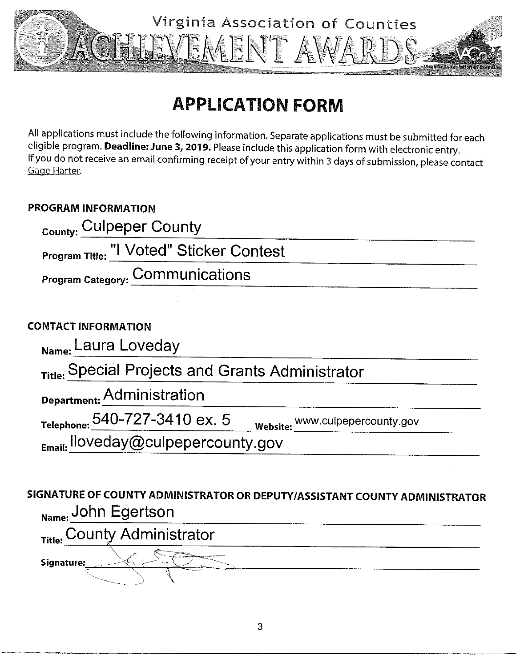

# **APPLICATION FORM**

All applications must include the following information. Separate applications must be submitted for each eligible program. Deadline: June 3, 2019. Please include this application form with electronic entry. If you do not receive an email confirming receipt of your entry within 3 days of submission, please contact Gage Harter.

### **PROGRAM INFORMATION**

| <sub>County:</sub> Culpeper County              |  |
|-------------------------------------------------|--|
| <b>Program Title: "I Voted" Sticker Contest</b> |  |
| Program Category: COMMUNICATIONS                |  |

### **CONTACT INFORMATION**

| Name: Laura Loveday                              |                                 |
|--------------------------------------------------|---------------------------------|
| Title: Special Projects and Grants Administrator |                                 |
| Department: Administration                       |                                 |
| Telephone: $540 - 727 - 3410$ ex. 5              | Website: WWW.culpepercounty.gov |
| Email: lloveday@culpepercounty.gov               |                                 |

## SIGNATURE OF COUNTY ADMINISTRATOR OR DEPUTY/ASSISTANT COUNTY ADMINISTRATOR Name: John Egertson

Title: County Administrator Signature: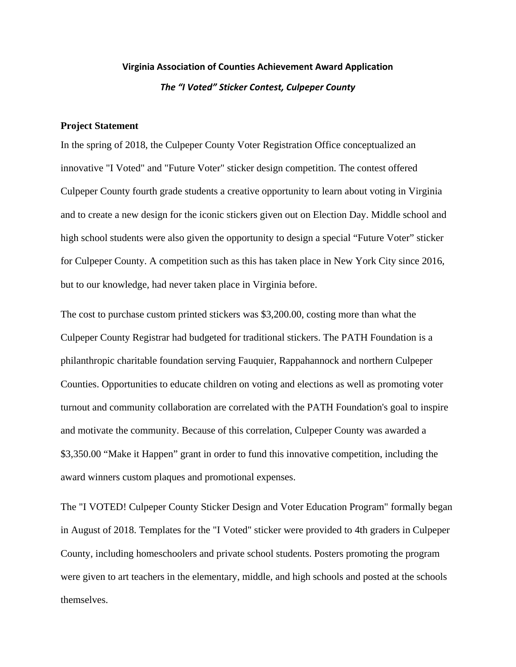### **Virginia Association of Counties Achievement Award Application** *The "I Voted" Sticker Contest, Culpeper County*

#### **Project Statement**

In the spring of 2018, the Culpeper County Voter Registration Office conceptualized an innovative "I Voted" and "Future Voter" sticker design competition. The contest offered Culpeper County fourth grade students a creative opportunity to learn about voting in Virginia and to create a new design for the iconic stickers given out on Election Day. Middle school and high school students were also given the opportunity to design a special "Future Voter" sticker for Culpeper County. A competition such as this has taken place in New York City since 2016, but to our knowledge, had never taken place in Virginia before.

The cost to purchase custom printed stickers was \$3,200.00, costing more than what the Culpeper County Registrar had budgeted for traditional stickers. The PATH Foundation is a philanthropic charitable foundation serving Fauquier, Rappahannock and northern Culpeper Counties. Opportunities to educate children on voting and elections as well as promoting voter turnout and community collaboration are correlated with the PATH Foundation's goal to inspire and motivate the community. Because of this correlation, Culpeper County was awarded a \$3,350.00 "Make it Happen" grant in order to fund this innovative competition, including the award winners custom plaques and promotional expenses.

The "I VOTED! Culpeper County Sticker Design and Voter Education Program" formally began in August of 2018. Templates for the "I Voted" sticker were provided to 4th graders in Culpeper County, including homeschoolers and private school students. Posters promoting the program were given to art teachers in the elementary, middle, and high schools and posted at the schools themselves.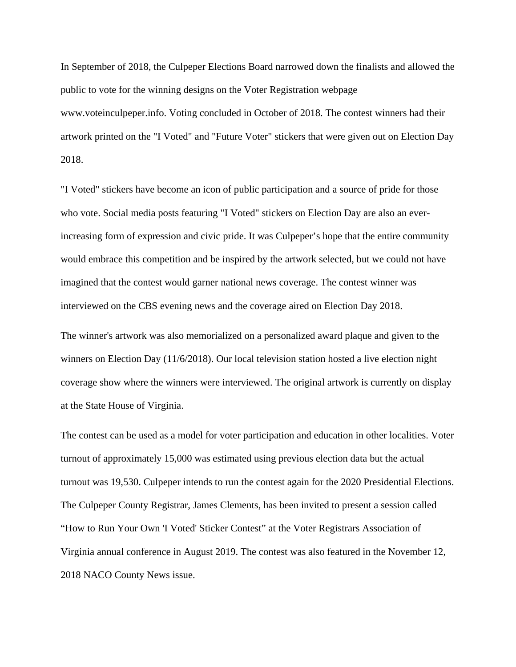In September of 2018, the Culpeper Elections Board narrowed down the finalists and allowed the public to vote for the winning designs on the Voter Registration webpage www.voteinculpeper.info. Voting concluded in October of 2018. The contest winners had their artwork printed on the "I Voted" and "Future Voter" stickers that were given out on Election Day 2018.

"I Voted" stickers have become an icon of public participation and a source of pride for those who vote. Social media posts featuring "I Voted" stickers on Election Day are also an everincreasing form of expression and civic pride. It was Culpeper's hope that the entire community would embrace this competition and be inspired by the artwork selected, but we could not have imagined that the contest would garner national news coverage. The contest winner was interviewed on the CBS evening news and the coverage aired on Election Day 2018.

The winner's artwork was also memorialized on a personalized award plaque and given to the winners on Election Day (11/6/2018). Our local television station hosted a live election night coverage show where the winners were interviewed. The original artwork is currently on display at the State House of Virginia.

The contest can be used as a model for voter participation and education in other localities. Voter turnout of approximately 15,000 was estimated using previous election data but the actual turnout was 19,530. Culpeper intends to run the contest again for the 2020 Presidential Elections. The Culpeper County Registrar, James Clements, has been invited to present a session called "How to Run Your Own 'I Voted' Sticker Contest" at the Voter Registrars Association of Virginia annual conference in August 2019. The contest was also featured in the November 12, 2018 NACO County News issue.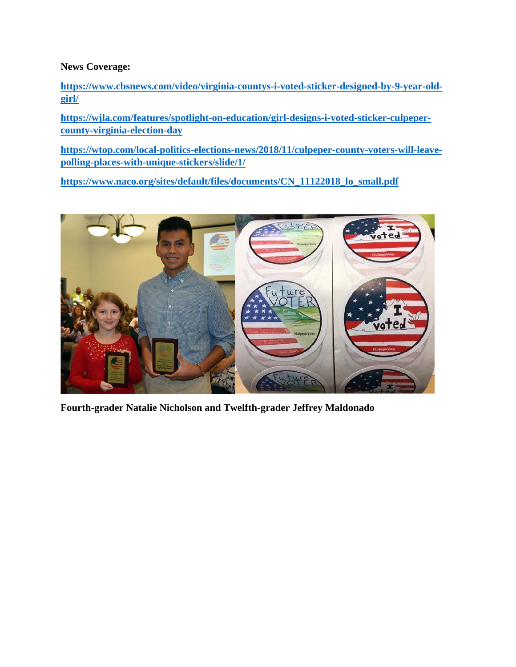**News Coverage:**

**[https://www.cbsnews.com/video/virginia-countys-i-voted-sticker-designed-by-9-year-old](https://www.cbsnews.com/video/virginia-countys-i-voted-sticker-designed-by-9-year-old-girl/)[girl/](https://www.cbsnews.com/video/virginia-countys-i-voted-sticker-designed-by-9-year-old-girl/)**

**[https://wjla.com/features/spotlight-on-education/girl-designs-i-voted-sticker-culpeper](https://wjla.com/features/spotlight-on-education/girl-designs-i-voted-sticker-culpeper-county-virginia-election-day)[county-virginia-election-day](https://wjla.com/features/spotlight-on-education/girl-designs-i-voted-sticker-culpeper-county-virginia-election-day)**

**[https://wtop.com/local-politics-elections-news/2018/11/culpeper-county-voters-will-leave](https://wtop.com/local-politics-elections-news/2018/11/culpeper-county-voters-will-leave-polling-places-with-unique-stickers/slide/1/)[polling-places-with-unique-stickers/slide/1/](https://wtop.com/local-politics-elections-news/2018/11/culpeper-county-voters-will-leave-polling-places-with-unique-stickers/slide/1/)**

**[https://www.naco.org/sites/default/files/documents/CN\\_11122018\\_lo\\_small.pdf](https://www.naco.org/sites/default/files/documents/CN_11122018_lo_small.pdf)**



**Fourth-grader Natalie Nicholson and Twelfth-grader Jeffrey Maldonado**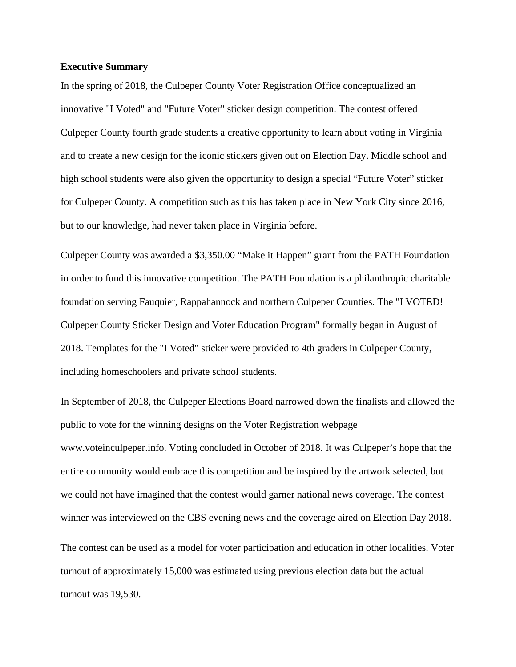#### **Executive Summary**

In the spring of 2018, the Culpeper County Voter Registration Office conceptualized an innovative "I Voted" and "Future Voter" sticker design competition. The contest offered Culpeper County fourth grade students a creative opportunity to learn about voting in Virginia and to create a new design for the iconic stickers given out on Election Day. Middle school and high school students were also given the opportunity to design a special "Future Voter" sticker for Culpeper County. A competition such as this has taken place in New York City since 2016, but to our knowledge, had never taken place in Virginia before.

Culpeper County was awarded a \$3,350.00 "Make it Happen" grant from the PATH Foundation in order to fund this innovative competition. The PATH Foundation is a philanthropic charitable foundation serving Fauquier, Rappahannock and northern Culpeper Counties. The "I VOTED! Culpeper County Sticker Design and Voter Education Program" formally began in August of 2018. Templates for the "I Voted" sticker were provided to 4th graders in Culpeper County, including homeschoolers and private school students.

In September of 2018, the Culpeper Elections Board narrowed down the finalists and allowed the public to vote for the winning designs on the Voter Registration webpage www.voteinculpeper.info. Voting concluded in October of 2018. It was Culpeper's hope that the entire community would embrace this competition and be inspired by the artwork selected, but we could not have imagined that the contest would garner national news coverage. The contest winner was interviewed on the CBS evening news and the coverage aired on Election Day 2018.

The contest can be used as a model for voter participation and education in other localities. Voter turnout of approximately 15,000 was estimated using previous election data but the actual turnout was 19,530.